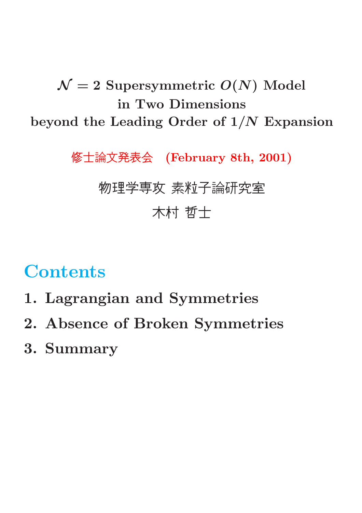### $\mathcal{N}=2$  Supersymmetric  $O(N)$  Model in Two Dimensions beyond the Leading Order of 1/N Expansion

修士論文発表会 (February 8th, 2001)

#### 物理学専攻 素粒子論研究室

### 木村 哲士

# **Contents**

- 1. Lagrangian and Symmetries
- 2. Absence of Broken Symmetries
- 3. Summary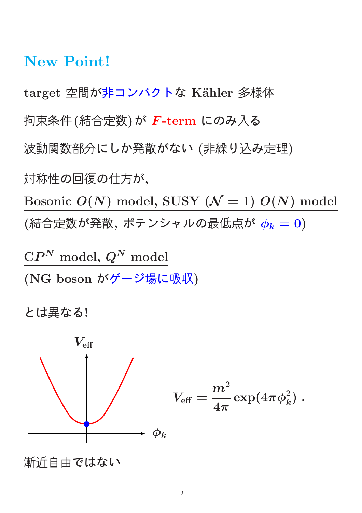#### New Point!

target 空間が非コンパクトな Kähler 多様体 拘束条件(結合定数)が F-term にのみ入る 波動関数部分にしか発散がない (非繰り込み定理) 対称性の回復の仕方が, Bosonic  $O(N)$  model, SUSY ( $\mathcal{N}=1$ )  $O(N)$  model  $(k$ 結合定数が発散, ポテンシャルの最低点が $\phi_k = 0$ )

 $\mathbf{C}P^{N}\bmod$ el,  $Q^{N}\bmod$ el (NG boson がゲージ場に吸収)

とは異なる!



$$
V_{\text{eff}} = \frac{m^2}{4\pi} \exp(4\pi \phi_k^2) \; .
$$

漸近自由ではない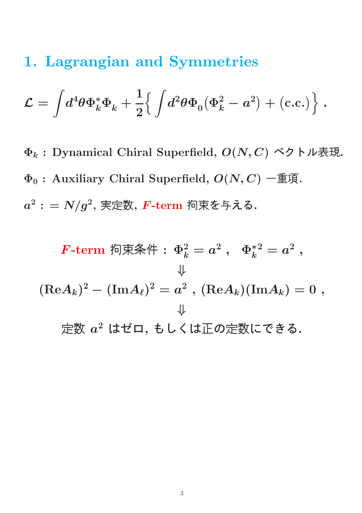### 1. Lagrangian and Symmetries

$$
\mathcal{L} = \int \! d^4 \theta \Phi_k^* \Phi_k + \frac{1}{2} \Big\{ \int \! d^2 \theta \Phi_0 \big( \Phi_k^2 - a^2 \big) + \big( \text{c.c.} \big) \Big\} \; .
$$

 $\Phi_k$ : Dynamical Chiral Superfield,  $O(N, C)$  ベクトル表現.  $\Phi_0$ : Auxiliary Chiral Superfield,  $O(N, C)$  一重項.  $a^2: = N/g^2,$  実定数,  $\boldsymbol{F}\text{-}\mathbf{term}$  拘束を与える.

$$
F\text{-term } \ln \frac{2k}{k} = a^2 , \quad \Phi_k^{*2} = a^2 ,
$$
\n
$$
\downarrow
$$
\n
$$
(\text{Re}A_k)^2 - (\text{Im}A_\ell)^2 = a^2 , \quad (\text{Re}A_k)(\text{Im}A_k) = 0 ,
$$
\n
$$
\downarrow
$$
\n
$$
\pm \text{Im}A_k \quad \text{Im}A_k = 0 ,
$$
\n
$$
\pm \text{Im}A_k = 0 ,
$$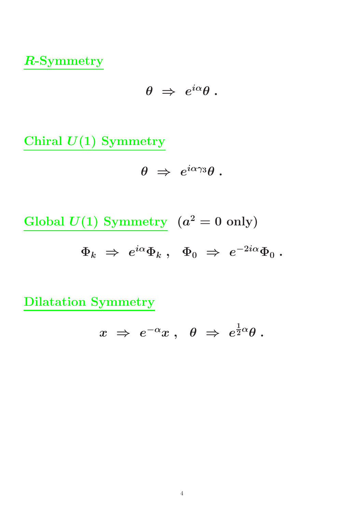R-Symmetry

$$
\theta \;\Rightarrow\; e^{i\alpha}\theta\;.
$$

Chiral  $U(1)$  Symmetry

$$
\theta \;\Rightarrow\; e^{i\alpha\gamma_3}\theta\;.
$$

Global  $U(1)$  Symmetry  $(a^2 = 0 \text{ only})$ 

 $\Phi_k\;\Rightarrow\;e^{i\alpha}\Phi_k\;,\;\;\Phi_0\;\Rightarrow\;e^{-2i\alpha}\Phi_0\;.$ 

Dilatation Symmetry

$$
x \;\Rightarrow\; e^{-\alpha} x \;,\;\; \theta \;\Rightarrow\; e^{\frac{1}{2}\alpha} \theta \;.
$$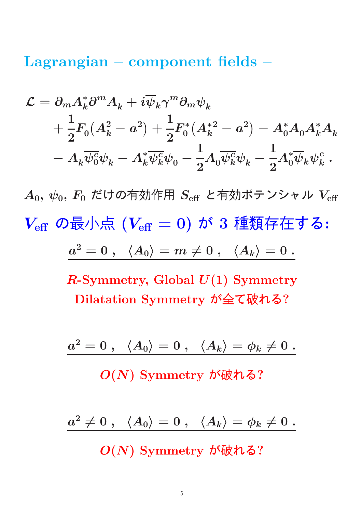Lagrangian – component fields –

$$
\begin{aligned} \mathcal{L} &= \partial_m A_k^* \partial^m A_k + i \overline{\psi}_k \gamma^m \partial_m \psi_k \\ &+ \frac{1}{2} F_0 (A_k^2 - a^2) + \frac{1}{2} F_0^* (A_k^{*2} - a^2) - A_0^* A_0 A_k^* A_k \\ &- A_k \overline{\psi_0^c} \psi_k - A_k^* \overline{\psi_k^c} \psi_0 - \frac{1}{2} A_0 \overline{\psi_k^c} \psi_k - \frac{1}{2} A_0^* \overline{\psi}_k \psi_k^c \,. \end{aligned}
$$

 $A_0, \psi_0, F_0$  だけの有効作用  $S_{\text{eff}}$  と有効ポテンシャル  $V_{\text{eff}}$  $V_{\text{eff}}$  の最小点  $(V_{\text{eff}} = 0)$  が 3 種類存在する:  $a^2=0\ ,\ \ \ \langle A_0\rangle=m\neq 0\ ,\ \ \ \langle A_k\rangle=0\ .$ 

> $R$ -Symmetry, Global  $U(1)$  Symmetry Dilatation Symmetry が全て破れる?

> $a^2=0\ ,\ \ \ \langle A_0\rangle = 0\ ,\ \ \ \langle A_k\rangle = \phi_k \neq 0\ .$

O(N) Symmetry が破れる?

 $a^2\neq 0\;,\;\;\; \langle A_0\rangle = 0\;,\;\;\;\langle A_k\rangle = \phi_k \neq 0\;.$ 

O(N) Symmetry が破れる?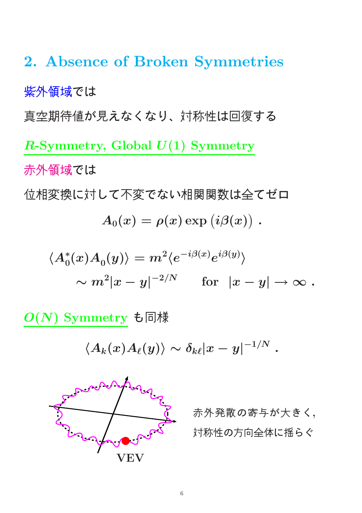2. Absence of Broken Symmetries 紫外領域では 真空期待値が見えなくなり、対称性は回復する R-Symmetry, Global  $U(1)$  Symmetry 赤外領域では 位相変換に対して不変でない相関関数は全てゼロ  $A_0(x) = \rho(x) \exp\left(i \beta(x)\right) \, .$  $\langle A_0^*(x) A_0(y) \rangle = m^2 \langle e^{-i \beta(x)} e^{i \beta(y)} \rangle$  $\sum_{i=1}^{n}$ 

 $\sim m^2|x-y|^{-2/N} \hspace{5mm} \text{for} \hspace{2mm} |x-y|\to \infty \; .$ 

 $O(N)$  Symmetry も同様

 $\langle A_k(x) A_\ell(y)\rangle \sim \delta_{k\ell} |x-y|^{-1/N} \;.$ 



赤外発散の寄与が大きく, 対称性の方向全体に揺らぐ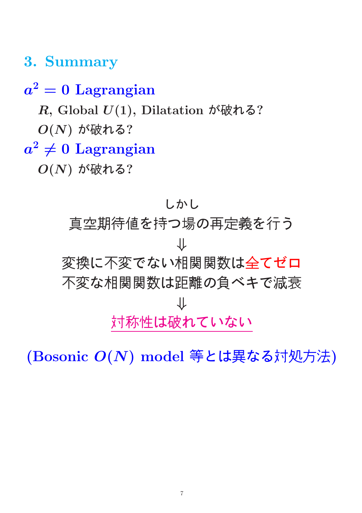### 3. Summary

## $a^2=0\,$  Lagrangian  $R$ , Global  $U(1)$ , Dilatation が破れる?  $O(N)$ が破れる?  $a^2\neq 0$  Lagrangian  $O(N)$ が破れる?

しかし 真空期待値を持つ場の再定義を行う ⇓ 変換に不変でない相関関数は全てゼロ 不変な相関関数は距離の負ベキで減衰 ⇓ 対称性は破れていない

(Bosonic O(N) model 等とは異なる対処方法)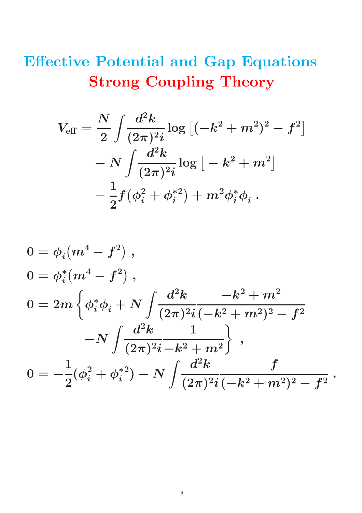## Effective Potential and Gap Equations Strong Coupling Theory

$$
V_{\text{eff}} = \frac{N}{2} \int \frac{d^2 k}{(2\pi)^2 i} \log \left[ (-k^2 + m^2)^2 - f^2 \right] - N \int \frac{d^2 k}{(2\pi)^2 i} \log \left[ -k^2 + m^2 \right] - \frac{1}{2} f (\phi_i^2 + \phi_i^{*2}) + m^2 \phi_i^* \phi_i .
$$

$$
\begin{aligned} 0&=\phi_i(m^4-f^2)\;,\\ 0&= \phi_i^*(m^4-f^2)\;,\\ 0&=2m\left\{\phi_i^*\phi_i+N\int\!\frac{d^2k}{(2\pi)^2i}\frac{-k^2+m^2}{(-k^2+m^2)^2-f^2}\right.\\ &\left. -N\int\!\frac{d^2k}{(2\pi)^2i}\frac{1}{-k^2+m^2}\right\}\;,\\ 0&=-\frac{1}{2}(\phi_i^2+\phi_i^{*2})-N\int\!\frac{d^2k}{(2\pi)^2i\,(-k^2+m^2)^2-f^2}\;. \end{aligned}
$$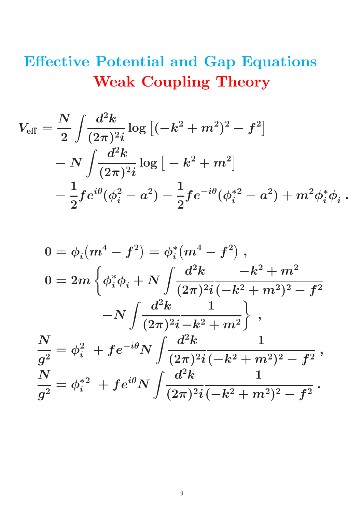## Effective Potential and Gap Equations Weak Coupling Theory

$$
\begin{aligned} V_{\text{eff}} &= \frac{N}{2} \int \!\! \frac{d^2k}{(2\pi)^2 i} \log\left[(-k^2+m^2)^2 - f^2\right] \\ &- N \int \!\! \frac{d^2k}{(2\pi)^2 i} \log\left[-k^2+m^2\right] \\ &- \frac{1}{2} f e^{i\theta} (\phi_i^2-a^2) - \frac{1}{2} f e^{-i\theta} (\phi_i^{*2}-a^2) + m^2 \phi_i^* \phi_i~. \end{aligned}
$$

$$
\begin{aligned} 0&=\phi_i(m^4-f^2)=\phi_i^*(m^4-f^2)\;,\\ 0&=2m\left\{\phi_i^*\phi_i+N\int\frac{d^2k}{(2\pi)^2i}\frac{-k^2+m^2}{(-k^2+m^2)^2-f^2}\right.\\ &\left.-N\int\frac{d^2k}{(2\pi)^2i}\frac{1}{-k^2+m^2}\right\}\;,\\ \frac{N}{g^2}&=\phi_i^2\;+fe^{-i\theta}N\int\frac{d^2k}{(2\pi)^2i}\frac{1}{(-k^2+m^2)^2-f^2}\;,\\ \frac{N}{g^2}&=\phi_i^{*2}\;+fe^{i\theta}N\int\frac{d^2k}{(2\pi)^2i}\frac{1}{(-k^2+m^2)^2-f^2}\;. \end{aligned}
$$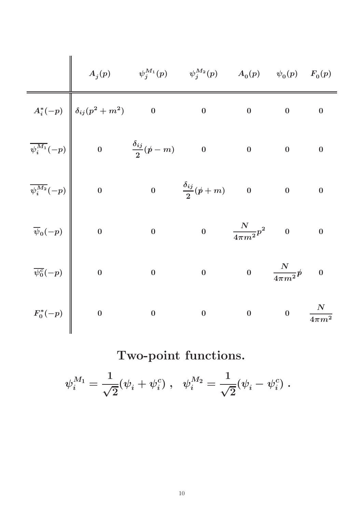|                                                                                                                                                                                                                                                                                                                                                                                                                                              | $A_j(p) \hspace{1cm} \psi_j^{M_1}(p) \hspace{1cm} \psi_j^{M_2}(p) \hspace{1cm} A_0(p) \hspace{1cm} \psi_0(p) \hspace{1cm} F_0(p)$ |                         |                                  |                                                     |                  |  |
|----------------------------------------------------------------------------------------------------------------------------------------------------------------------------------------------------------------------------------------------------------------------------------------------------------------------------------------------------------------------------------------------------------------------------------------------|-----------------------------------------------------------------------------------------------------------------------------------|-------------------------|----------------------------------|-----------------------------------------------------|------------------|--|
|                                                                                                                                                                                                                                                                                                                                                                                                                                              |                                                                                                                                   |                         | $\overline{\mathbf{0}}$          | $\mathbf{0}$                                        | $\bf{0}$         |  |
|                                                                                                                                                                                                                                                                                                                                                                                                                                              |                                                                                                                                   |                         | $\overline{\phantom{a}}$         | $\overline{\phantom{a}}$                            | $\bf{0}$         |  |
|                                                                                                                                                                                                                                                                                                                                                                                                                                              | $\begin{array}{ccc} 0 & & \dfrac{\delta_{ij}}{2}(\rlap{/}{}~+m) & & 0 \end{array}$                                                |                         |                                  | $\overline{\mathbf{0}}$                             | $\bf{0}$         |  |
|                                                                                                                                                                                                                                                                                                                                                                                                                                              |                                                                                                                                   | $\overline{\mathbf{0}}$ | $\frac{N}{4\pi m^2}p^2 \qquad 0$ |                                                     | $\boldsymbol{0}$ |  |
|                                                                                                                                                                                                                                                                                                                                                                                                                                              |                                                                                                                                   |                         | $0 \qquad \frac{N}{4\pi m^2} p$  |                                                     | $\boldsymbol{0}$ |  |
| $\begin{array}{c ccc} \hline &&&&&&\ \hline &&&&&&\ A_i^*(-p)&&\delta_{ij}(p^2+m^2)&0&&0\ &&&&&\ \hline \overline{\psi_i^{M_1}}(-p)&&0&&\frac{\delta_{ij}}{2}(p-m)&0\ &&&&&\ \hline \overline{\psi_i^{M_2}}(-p)&&0&&0&&\frac{\delta_{ij}}{2}(p+m)\ &&&&&&&\ \hline \overline{\psi}_0(-p)&&0&&0&&0\ &&&&&&&\ \hline \overline{\psi_0^c}(-p)&&0&&0&&0\ &&&&&&&&&\ \hline &&&&&&&&&&&&&\ \hline &&&&&&&&&&&&&&&&&&&&&&&&&&&&&&&&&&&&&&&&&&&&&&$ |                                                                                                                                   |                         |                                  | $0 \qquad \qquad 0 \qquad \quad \frac{N}{4\pi m^2}$ |                  |  |

Two-point functions.

 $\psi_i^{M_1} =$ 1 √ 2  $(\psi_i + \psi_i^c)$  $\left( \begin{smallmatrix} c \ i \end{smallmatrix} \right) \,, \,\,\,\, \psi_i^{M_2} =$ 1 √ 2  $(\psi_i - \psi_i^c)$  $\binom{c}{i}$  .